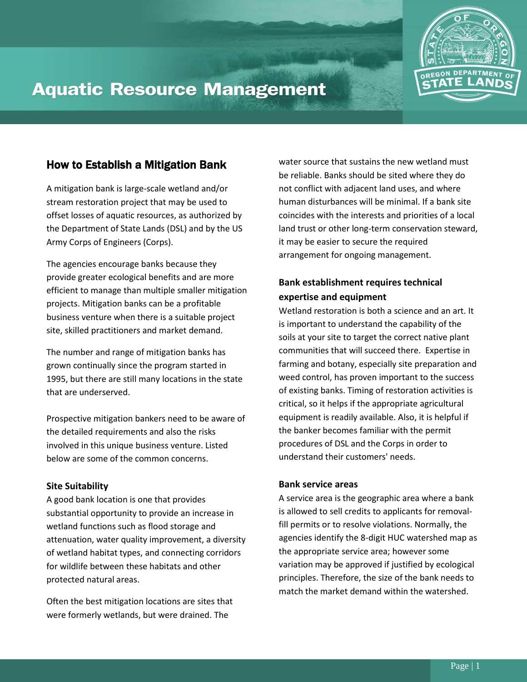

# **Aquatic Resource Management**

# How to Establish a Mitigation Bank

A mitigation bank is large-scale wetland and/or stream restoration project that may be used to offset losses of aquatic resources, as authorized by the Department of State Lands (DSL) and by the US Army Corps of Engineers (Corps).

The agencies encourage banks because they provide greater ecological benefits and are more efficient to manage than multiple smaller mitigation projects. Mitigation banks can be a profitable business venture when there is a suitable project site, skilled practitioners and market demand.

The number and range of mitigation banks has grown continually since the program started in 1995, but there are still many locations in the state that are underserved.

Prospective mitigation bankers need to be aware of the detailed requirements and also the risks involved in this unique business venture. Listed below are some of the common concerns.

## **Site Suitability**

A good bank location is one that provides substantial opportunity to provide an increase in wetland functions such as flood storage and attenuation, water quality improvement, a diversity of wetland habitat types, and connecting corridors for wildlife between these habitats and other protected natural areas.

Often the best mitigation locations are sites that were formerly wetlands, but were drained. The

water source that sustains the new wetland must be reliable. Banks should be sited where they do not conflict with adjacent land uses, and where human disturbances will be minimal. If a bank site coincides with the interests and priorities of a local land trust or other long-term conservation steward, it may be easier to secure the required arrangement for ongoing management.

## **Bank establishment requires technical expertise and equipment**

Wetland restoration is both a science and an art. It is important to understand the capability of the soils at your site to target the correct native plant communities that will succeed there. Expertise in farming and botany, especially site preparation and weed control, has proven important to the success of existing banks. Timing of restoration activities is critical, so it helps if the appropriate agricultural equipment is readily available. Also, it is helpful if the banker becomes familiar with the permit procedures of DSL and the Corps in order to understand their customers' needs.

## **Bank service areas**

A service area is the geographic area where a bank is allowed to sell credits to applicants for removalfill permits or to resolve violations. Normally, the agencies identify the 8-digit HUC watershed map as the appropriate service area; however some variation may be approved if justified by ecological principles. Therefore, the size of the bank needs to match the market demand within the watershed.